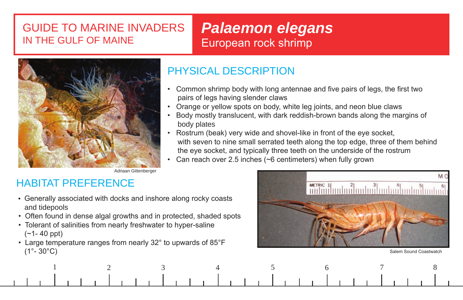## GUIDE TO MARINE INVADERS IN THE GULF OF MAINE

# *Palaemon elegans* European rock shrimp



### PHYSICAL DESCRIPTION

- Common shrimp body with long antennae and five pairs of legs, the first two pairs of legs having slender claws
- Orange or yellow spots on body, white leg joints, and neon blue claws
- Body mostly translucent, with dark reddish-brown bands along the margins of body plates
- Rostrum (beak) very wide and shovel-like in front of the eye socket, with seven to nine small serrated teeth along the top edge, three of them behind the eye socket, and typically three teeth on the underside of the rostrum
- Can reach over 2.5 inches (~6 centimeters) when fully grown

Adriaan Gittenberger

## HABITAT PREFERENCE

- Generally associated with docks and inshore along rocky coasts and tidepools
- Often found in dense algal growths and in protected, shaded spots
- Tolerant of salinities from nearly freshwater to hyper-saline (~1- 40 ppt)
- Large temperature ranges from nearly 32° to upwards of 85°F  $(1^{\circ}\text{-} \, 30^{\circ}\text{C})$  Salem Sound Coastwatch